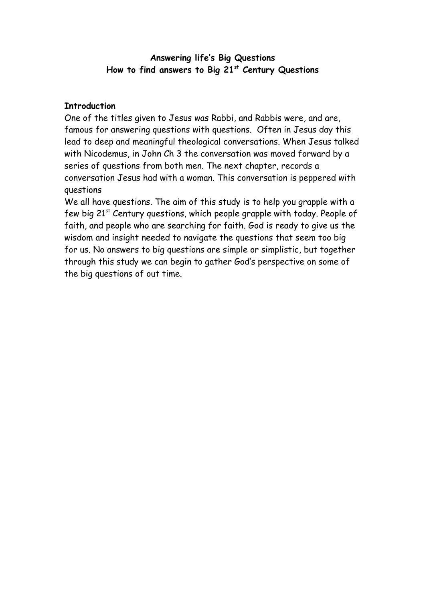#### **Answering life's Big Questions How to find answers to Big 21st Century Questions**

## **Introduction**

One of the titles given to Jesus was Rabbi, and Rabbis were, and are, famous for answering questions with questions. Often in Jesus day this lead to deep and meaningful theological conversations. When Jesus talked with Nicodemus, in John Ch 3 the conversation was moved forward by a series of questions from both men. The next chapter, records a conversation Jesus had with a woman. This conversation is peppered with questions

We all have questions. The aim of this study is to help you grapple with a few big 21<sup>st</sup> Century questions, which people grapple with today. People of faith, and people who are searching for faith. God is ready to give us the wisdom and insight needed to navigate the questions that seem too big for us. No answers to big questions are simple or simplistic, but together through this study we can begin to gather God's perspective on some of the big questions of out time.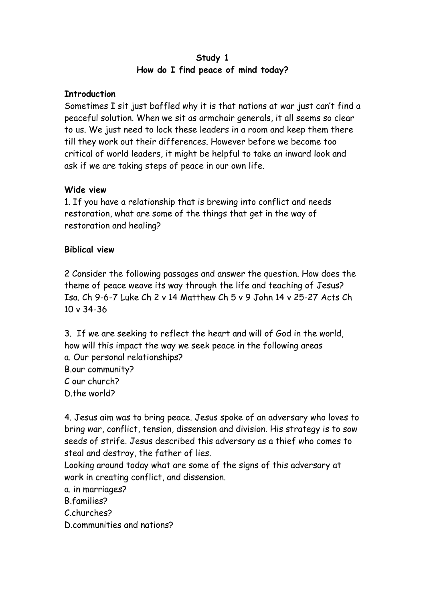### **Study 1 How do I find peace of mind today?**

## **Introduction**

Sometimes I sit just baffled why it is that nations at war just can't find a peaceful solution. When we sit as armchair generals, it all seems so clear to us. We just need to lock these leaders in a room and keep them there till they work out their differences. However before we become too critical of world leaders, it might be helpful to take an inward look and ask if we are taking steps of peace in our own life.

## **Wide view**

1. If you have a relationship that is brewing into conflict and needs restoration, what are some of the things that get in the way of restoration and healing?

## **Biblical view**

2 Consider the following passages and answer the question. How does the theme of peace weave its way through the life and teaching of Jesus? Isa. Ch 9-6-7 Luke Ch 2 v 14 Matthew Ch 5 v 9 John 14 v 25-27 Acts Ch 10 v 34-36

3. If we are seeking to reflect the heart and will of God in the world, how will this impact the way we seek peace in the following areas a. Our personal relationships? B.our community? C our church? D<sub>the world</sub>?

4. Jesus aim was to bring peace. Jesus spoke of an adversary who loves to bring war, conflict, tension, dissension and division. His strategy is to sow seeds of strife. Jesus described this adversary as a thief who comes to steal and destroy, the father of lies.

Looking around today what are some of the signs of this adversary at work in creating conflict, and dissension.

a. in marriages?

B.families?

C.churches?

D.communities and nations?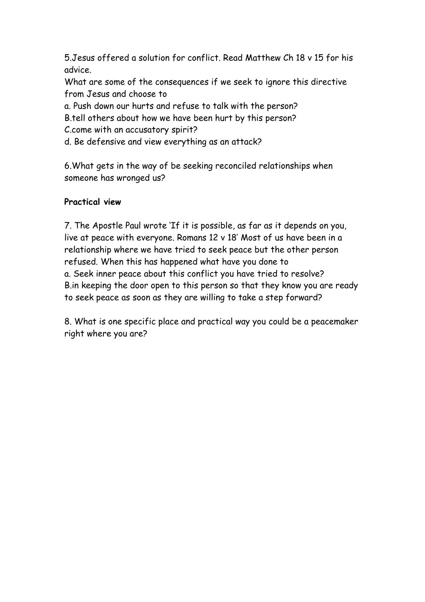5.Jesus offered a solution for conflict. Read Matthew Ch 18 v 15 for his advice.

What are some of the consequences if we seek to ignore this directive from Jesus and choose to

a. Push down our hurts and refuse to talk with the person?

B.tell others about how we have been hurt by this person?

C.come with an accusatory spirit?

d. Be defensive and view everything as an attack?

6.What gets in the way of be seeking reconciled relationships when someone has wronged us?

# **Practical view**

7. The Apostle Paul wrote 'If it is possible, as far as it depends on you, live at peace with everyone. Romans 12 v 18' Most of us have been in a relationship where we have tried to seek peace but the other person refused. When this has happened what have you done to a. Seek inner peace about this conflict you have tried to resolve? B.in keeping the door open to this person so that they know you are ready to seek peace as soon as they are willing to take a step forward?

8. What is one specific place and practical way you could be a peacemaker right where you are?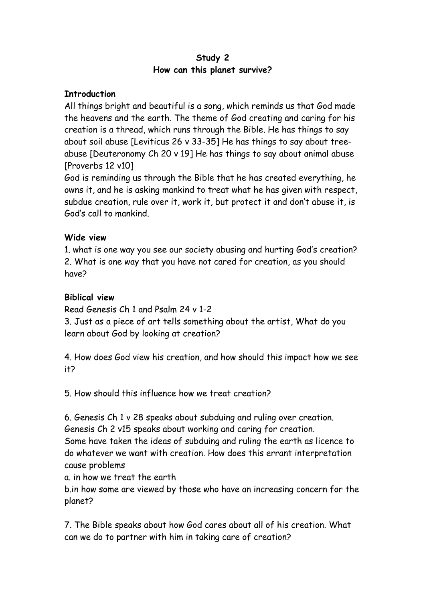### **Study 2 How can this planet survive?**

### **Introduction**

All things bright and beautiful is a song, which reminds us that God made the heavens and the earth. The theme of God creating and caring for his creation is a thread, which runs through the Bible. He has things to say about soil abuse [Leviticus 26 v 33-35] He has things to say about treeabuse [Deuteronomy Ch 20 v 19] He has things to say about animal abuse [Proverbs 12 v10]

God is reminding us through the Bible that he has created everything, he owns it, and he is asking mankind to treat what he has given with respect, subdue creation, rule over it, work it, but protect it and don't abuse it, is God's call to mankind.

## **Wide view**

1. what is one way you see our society abusing and hurting God's creation? 2. What is one way that you have not cared for creation, as you should have?

# **Biblical view**

Read Genesis Ch 1 and Psalm 24 v 1-2

3. Just as a piece of art tells something about the artist, What do you learn about God by looking at creation?

4. How does God view his creation, and how should this impact how we see it?

5. How should this influence how we treat creation?

6. Genesis Ch 1 v 28 speaks about subduing and ruling over creation. Genesis Ch 2 v15 speaks about working and caring for creation.

Some have taken the ideas of subduing and ruling the earth as licence to do whatever we want with creation. How does this errant interpretation cause problems

a. in how we treat the earth

b.in how some are viewed by those who have an increasing concern for the planet?

7. The Bible speaks about how God cares about all of his creation. What can we do to partner with him in taking care of creation?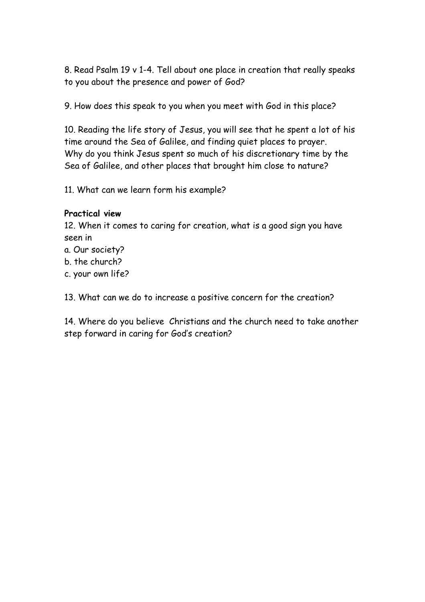8. Read Psalm 19 v 1-4. Tell about one place in creation that really speaks to you about the presence and power of God?

9. How does this speak to you when you meet with God in this place?

10. Reading the life story of Jesus, you will see that he spent a lot of his time around the Sea of Galilee, and finding quiet places to prayer. Why do you think Jesus spent so much of his discretionary time by the Sea of Galilee, and other places that brought him close to nature?

11. What can we learn form his example?

# **Practical view**

12. When it comes to caring for creation, what is a good sign you have seen in

- a. Our society?
- b. the church?
- c. your own life?

13. What can we do to increase a positive concern for the creation?

14. Where do you believe Christians and the church need to take another step forward in caring for God's creation?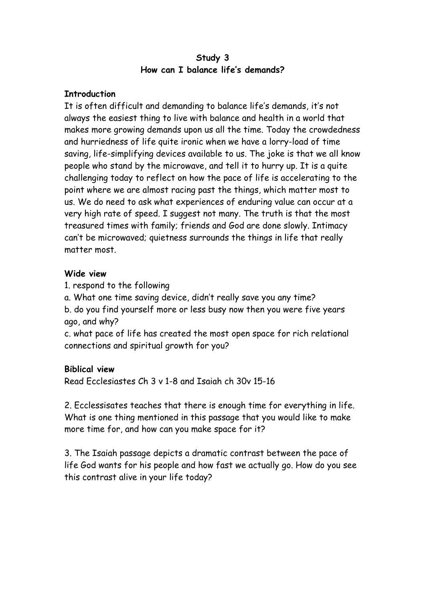#### **Study 3 How can I balance life's demands?**

### **Introduction**

It is often difficult and demanding to balance life's demands, it's not always the easiest thing to live with balance and health in a world that makes more growing demands upon us all the time. Today the crowdedness and hurriedness of life quite ironic when we have a lorry-load of time saving, life-simplifying devices available to us. The joke is that we all know people who stand by the microwave, and tell it to hurry up. It is a quite challenging today to reflect on how the pace of life is accelerating to the point where we are almost racing past the things, which matter most to us. We do need to ask what experiences of enduring value can occur at a very high rate of speed. I suggest not many. The truth is that the most treasured times with family; friends and God are done slowly. Intimacy can't be microwaved; quietness surrounds the things in life that really matter most.

#### **Wide view**

1. respond to the following

a. What one time saving device, didn't really save you any time? b. do you find yourself more or less busy now then you were five years ago, and why?

c. what pace of life has created the most open space for rich relational connections and spiritual growth for you?

## **Biblical view**

Read Ecclesiastes Ch 3 v 1-8 and Isaiah ch 30v 15-16

2. Ecclessisates teaches that there is enough time for everything in life. What is one thing mentioned in this passage that you would like to make more time for, and how can you make space for it?

3. The Isaiah passage depicts a dramatic contrast between the pace of life God wants for his people and how fast we actually go. How do you see this contrast alive in your life today?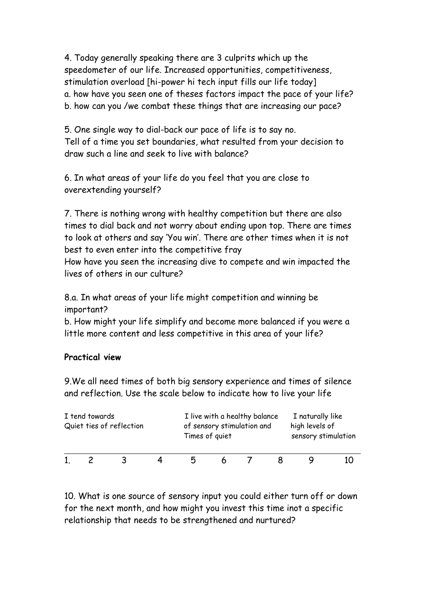4. Today generally speaking there are 3 culprits which up the speedometer of our life. Increased opportunities, competitiveness, stimulation overload [hi-power hi tech input fills our life today] a. how have you seen one of theses factors impact the pace of your life? b. how can you /we combat these things that are increasing our pace?

5. One single way to dial-back our pace of life is to say no. Tell of a time you set boundaries, what resulted from your decision to draw such a line and seek to live with balance?

6. In what areas of your life do you feel that you are close to overextending yourself?

7. There is nothing wrong with healthy competition but there are also times to dial back and not worry about ending upon top. There are times to look at others and say 'You win'. There are other times when it is not best to even enter into the competitive fray

How have you seen the increasing dive to compete and win impacted the lives of others in our culture?

8.a. In what areas of your life might competition and winning be important?

b. How might your life simplify and become more balanced if you were a little more content and less competitive in this area of your life?

## **Practical view**

9.We all need times of both big sensory experience and times of silence and reflection. Use the scale below to indicate how to live your life

| I tend towards | Quiet ties of reflection | I live with a healthy balance<br>of sensory stimulation and<br>Times of quiet |   |  |  | I naturally like<br>high levels of<br>sensory stimulation |  |
|----------------|--------------------------|-------------------------------------------------------------------------------|---|--|--|-----------------------------------------------------------|--|
|                |                          | n                                                                             | h |  |  |                                                           |  |

10. What is one source of sensory input you could either turn off or down for the next month, and how might you invest this time inot a specific relationship that needs to be strengthened and nurtured?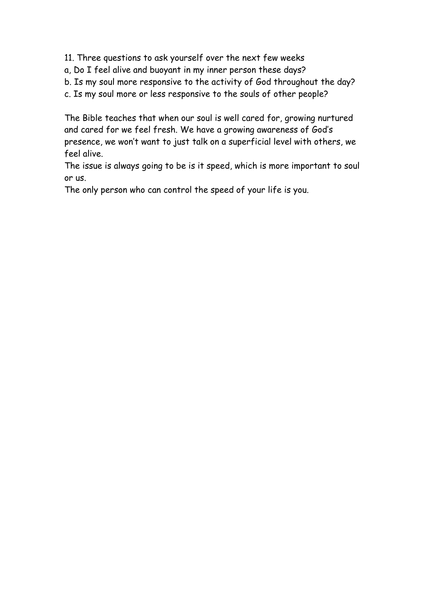11. Three questions to ask yourself over the next few weeks

a, Do I feel alive and buoyant in my inner person these days?

b. Is my soul more responsive to the activity of God throughout the day?

c. Is my soul more or less responsive to the souls of other people?

The Bible teaches that when our soul is well cared for, growing nurtured and cared for we feel fresh. We have a growing awareness of God's presence, we won't want to just talk on a superficial level with others, we feel alive.

The issue is always going to be is it speed, which is more important to soul or us.

The only person who can control the speed of your life is you.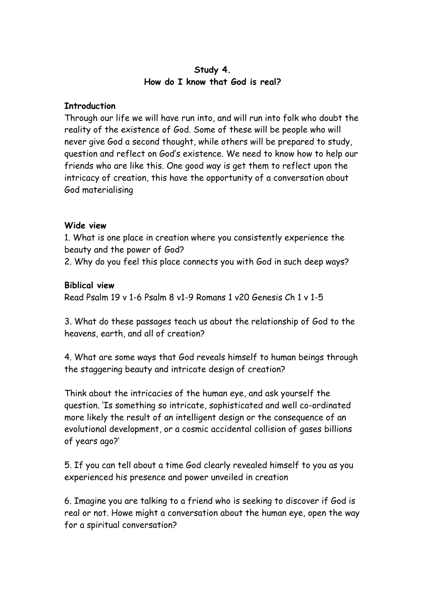### **Study 4. How do I know that God is real?**

#### **Introduction**

Through our life we will have run into, and will run into folk who doubt the reality of the existence of God. Some of these will be people who will never give God a second thought, while others will be prepared to study, question and reflect on God's existence. We need to know how to help our friends who are like this. One good way is get them to reflect upon the intricacy of creation, this have the opportunity of a conversation about God materialising

#### **Wide view**

1. What is one place in creation where you consistently experience the beauty and the power of God?

2. Why do you feel this place connects you with God in such deep ways?

#### **Biblical view**

Read Psalm 19 v 1-6 Psalm 8 v1-9 Romans 1 v20 Genesis Ch 1 v 1-5

3. What do these passages teach us about the relationship of God to the heavens, earth, and all of creation?

4. What are some ways that God reveals himself to human beings through the staggering beauty and intricate design of creation?

Think about the intricacies of the human eye, and ask yourself the question. 'Is something so intricate, sophisticated and well co-ordinated more likely the result of an intelligent design or the consequence of an evolutional development, or a cosmic accidental collision of gases billions of years ago?'

5. If you can tell about a time God clearly revealed himself to you as you experienced his presence and power unveiled in creation

6. Imagine you are talking to a friend who is seeking to discover if God is real or not. Howe might a conversation about the human eye, open the way for a spiritual conversation?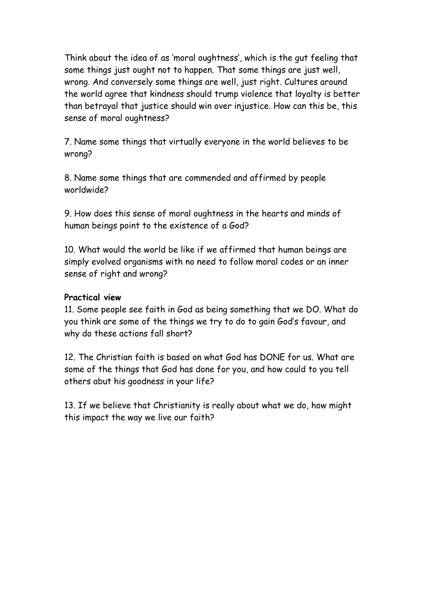Think about the idea of as 'moral oughtness', which is the gut feeling that some things just ought not to happen. That some things are just well, wrong. And conversely some things are well, just right. Cultures around the world agree that kindness should trump violence that loyalty is better than betrayal that justice should win over injustice. How can this be, this sense of moral oughtness?

7. Name some things that virtually everyone in the world believes to be wrong?

8. Name some things that are commended and affirmed by people worldwide?

9. How does this sense of moral oughtness in the hearts and minds of human beings point to the existence of a God?

10. What would the world be like if we affirmed that human beings are simply evolved organisms with no need to follow moral codes or an inner sense of right and wrong?

### **Practical view**

11. Some people see faith in God as being something that we DO. What do you think are some of the things we try to do to gain God's favour, and why do these actions fall short?

12. The Christian faith is based on what God has DONE for us. What are some of the things that God has done for you, and how could to you tell others abut his goodness in your life?

13. If we believe that Christianity is really about what we do, how might this impact the way we live our faith?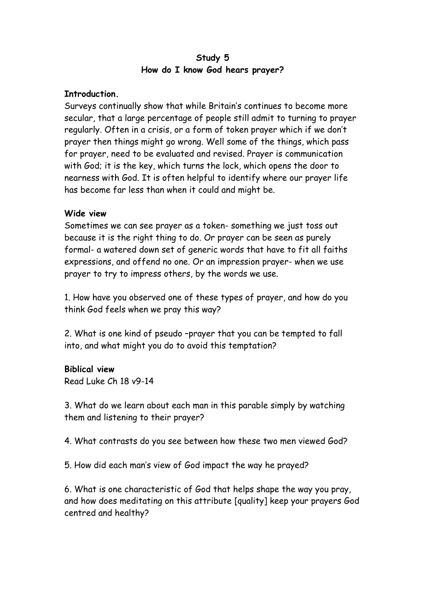### **Study 5 How do I know God hears prayer?**

#### **Introduction.**

Surveys continually show that while Britain's continues to become more secular, that a large percentage of people still admit to turning to prayer regularly. Often in a crisis, or a form of token prayer which if we don't prayer then things might go wrong. Well some of the things, which pass for prayer, need to be evaluated and revised. Prayer is communication with God; it is the key, which turns the lock, which opens the door to nearness with God. It is often helpful to identify where our prayer life has become far less than when it could and might be.

#### **Wide view**

Sometimes we can see prayer as a token- something we just toss out because it is the right thing to do. Or prayer can be seen as purely formal- a watered down set of generic words that have to fit all faiths expressions, and offend no one. Or an impression prayer- when we use prayer to try to impress others, by the words we use.

1. How have you observed one of these types of prayer, and how do you think God feels when we pray this way?

2. What is one kind of pseudo –prayer that you can be tempted to fall into, and what might you do to avoid this temptation?

#### **Biblical view**

Read Luke Ch 18 v9-14

3. What do we learn about each man in this parable simply by watching them and listening to their prayer?

4. What contrasts do you see between how these two men viewed God?

5. How did each man's view of God impact the way he prayed?

6. What is one characteristic of God that helps shape the way you pray, and how does meditating on this attribute [quality] keep your prayers God centred and healthy?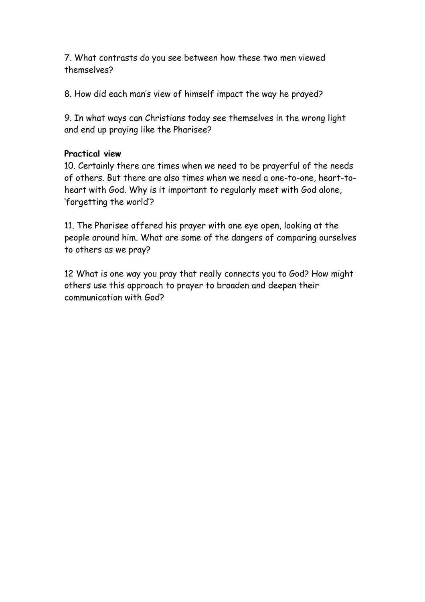7. What contrasts do you see between how these two men viewed themselves?

8. How did each man's view of himself impact the way he prayed?

9. In what ways can Christians today see themselves in the wrong light and end up praying like the Pharisee?

# **Practical view**

10. Certainly there are times when we need to be prayerful of the needs of others. But there are also times when we need a one-to-one, heart-toheart with God. Why is it important to regularly meet with God alone, 'forgetting the world'?

11. The Pharisee offered his prayer with one eye open, looking at the people around him. What are some of the dangers of comparing ourselves to others as we pray?

12 What is one way you pray that really connects you to God? How might others use this approach to prayer to broaden and deepen their communication with God?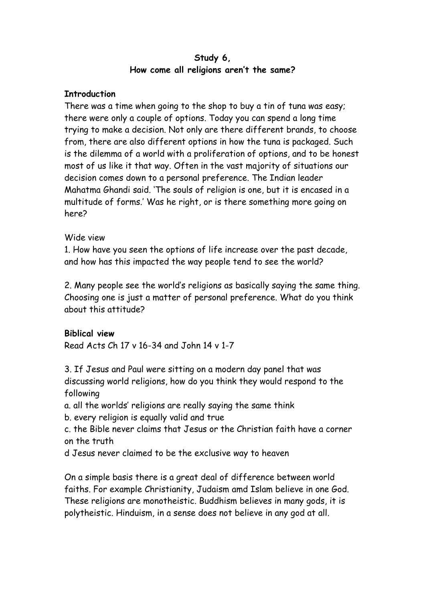### **Study 6, How come all religions aren't the same?**

## **Introduction**

There was a time when going to the shop to buy a tin of tuna was easy; there were only a couple of options. Today you can spend a long time trying to make a decision. Not only are there different brands, to choose from, there are also different options in how the tuna is packaged. Such is the dilemma of a world with a proliferation of options, and to be honest most of us like it that way. Often in the vast majority of situations our decision comes down to a personal preference. The Indian leader Mahatma Ghandi said. 'The souls of religion is one, but it is encased in a multitude of forms.' Was he right, or is there something more going on here?

## Wide view

1. How have you seen the options of life increase over the past decade, and how has this impacted the way people tend to see the world?

2. Many people see the world's religions as basically saying the same thing. Choosing one is just a matter of personal preference. What do you think about this attitude?

## **Biblical view**

Read Acts Ch 17 v 16-34 and John 14 v 1-7

3. If Jesus and Paul were sitting on a modern day panel that was discussing world religions, how do you think they would respond to the following

a. all the worlds' religions are really saying the same think

b. every religion is equally valid and true

c. the Bible never claims that Jesus or the Christian faith have a corner on the truth

d Jesus never claimed to be the exclusive way to heaven

On a simple basis there is a great deal of difference between world faiths. For example Christianity, Judaism amd Islam believe in one God. These religions are monotheistic. Buddhism believes in many gods, it is polytheistic. Hinduism, in a sense does not believe in any god at all.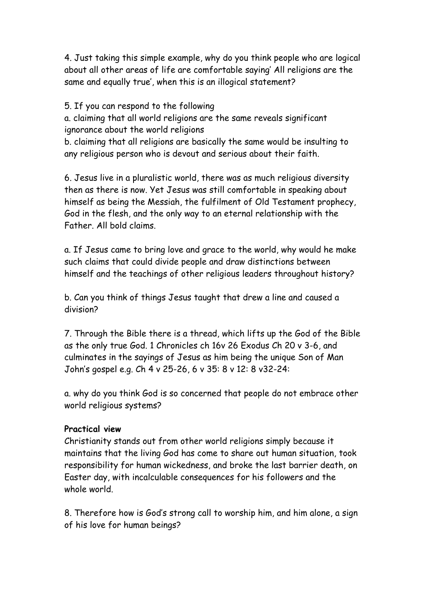4. Just taking this simple example, why do you think people who are logical about all other areas of life are comfortable saying' All religions are the same and equally true', when this is an illogical statement?

5. If you can respond to the following

a. claiming that all world religions are the same reveals significant ignorance about the world religions

b. claiming that all religions are basically the same would be insulting to any religious person who is devout and serious about their faith.

6. Jesus live in a pluralistic world, there was as much religious diversity then as there is now. Yet Jesus was still comfortable in speaking about himself as being the Messiah, the fulfilment of Old Testament prophecy, God in the flesh, and the only way to an eternal relationship with the Father. All bold claims.

a. If Jesus came to bring love and grace to the world, why would he make such claims that could divide people and draw distinctions between himself and the teachings of other religious leaders throughout history?

b. Can you think of things Jesus taught that drew a line and caused a division?

7. Through the Bible there is a thread, which lifts up the God of the Bible as the only true God. 1 Chronicles ch 16v 26 Exodus Ch 20 v 3-6, and culminates in the sayings of Jesus as him being the unique Son of Man John's gospel e.g. Ch 4 v 25-26, 6 v 35: 8 v 12: 8 v32-24:

a. why do you think God is so concerned that people do not embrace other world religious systems?

## **Practical view**

Christianity stands out from other world religions simply because it maintains that the living God has come to share out human situation, took responsibility for human wickedness, and broke the last barrier death, on Easter day, with incalculable consequences for his followers and the whole world.

8. Therefore how is God's strong call to worship him, and him alone, a sign of his love for human beings?